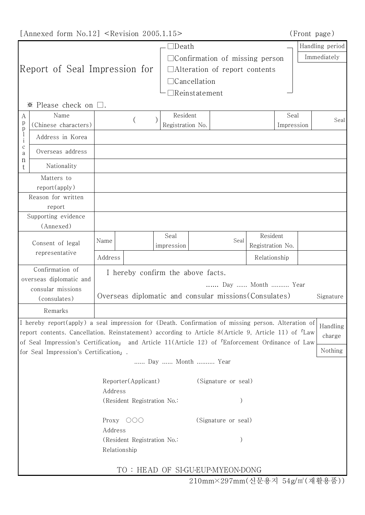[Annexed form No.12] <Revision 2005.1.15> (Front page)

| (Front page) |  |
|--------------|--|
|              |  |

|                                                                                                                                                                 |                                                                                                                                                                                                                       | $\Box$ Death                     |                                                                               | Handling period |  |  |
|-----------------------------------------------------------------------------------------------------------------------------------------------------------------|-----------------------------------------------------------------------------------------------------------------------------------------------------------------------------------------------------------------------|----------------------------------|-------------------------------------------------------------------------------|-----------------|--|--|
|                                                                                                                                                                 |                                                                                                                                                                                                                       |                                  | $\Box$ Confirmation of missing person<br>$\Box$ Alteration of report contents |                 |  |  |
| Report of Seal Impression for                                                                                                                                   |                                                                                                                                                                                                                       |                                  |                                                                               |                 |  |  |
|                                                                                                                                                                 |                                                                                                                                                                                                                       | $\Box$ Cancellation              |                                                                               |                 |  |  |
|                                                                                                                                                                 |                                                                                                                                                                                                                       | ∃Reinstatement                   |                                                                               |                 |  |  |
| $\mathbb X$ Please check on $\square$ .                                                                                                                         |                                                                                                                                                                                                                       |                                  |                                                                               |                 |  |  |
| Name<br>А                                                                                                                                                       |                                                                                                                                                                                                                       | Resident                         | Seal                                                                          | Seal            |  |  |
| p<br>(Chinese characters)<br>$_{\rm l}^{\rm p}$                                                                                                                 | Registration No.<br>Impression                                                                                                                                                                                        |                                  |                                                                               |                 |  |  |
| Address in Korea<br>$\rm i$                                                                                                                                     |                                                                                                                                                                                                                       |                                  |                                                                               |                 |  |  |
| $\mathbf C$<br>Overseas address<br>a                                                                                                                            |                                                                                                                                                                                                                       |                                  |                                                                               |                 |  |  |
| n<br>Nationality<br>t                                                                                                                                           |                                                                                                                                                                                                                       |                                  |                                                                               |                 |  |  |
| Matters to                                                                                                                                                      |                                                                                                                                                                                                                       |                                  |                                                                               |                 |  |  |
| $report(\text{apply})$                                                                                                                                          |                                                                                                                                                                                                                       |                                  |                                                                               |                 |  |  |
| Reason for written                                                                                                                                              |                                                                                                                                                                                                                       |                                  |                                                                               |                 |  |  |
| report<br>Supporting evidence                                                                                                                                   |                                                                                                                                                                                                                       |                                  |                                                                               |                 |  |  |
| (Annexed)                                                                                                                                                       |                                                                                                                                                                                                                       |                                  |                                                                               |                 |  |  |
| Consent of legal<br>representative                                                                                                                              | Seal<br>Name                                                                                                                                                                                                          | Seal                             | Resident                                                                      |                 |  |  |
|                                                                                                                                                                 | impression                                                                                                                                                                                                            |                                  | Registration No.                                                              |                 |  |  |
|                                                                                                                                                                 | Address                                                                                                                                                                                                               |                                  | Relationship                                                                  |                 |  |  |
| Confirmation of<br>I hereby confirm the above facts.                                                                                                            |                                                                                                                                                                                                                       |                                  |                                                                               |                 |  |  |
| overseas diplomatic and                                                                                                                                         |                                                                                                                                                                                                                       | Day  Month  Year                 |                                                                               |                 |  |  |
| consular missions<br>(consulates)                                                                                                                               | Overseas diplomatic and consular missions (Consulates)<br>Signature                                                                                                                                                   |                                  |                                                                               |                 |  |  |
|                                                                                                                                                                 |                                                                                                                                                                                                                       |                                  |                                                                               |                 |  |  |
| Remarks                                                                                                                                                         |                                                                                                                                                                                                                       |                                  |                                                                               |                 |  |  |
|                                                                                                                                                                 | I hereby report(apply) a seal impression for (Death. Confirmation of missing person. Alteration of<br>report contents. Cancellation. Reinstatement) according to Article 8(Article 9, Article 11) of <sup>T</sup> Law |                                  |                                                                               | Handling        |  |  |
|                                                                                                                                                                 |                                                                                                                                                                                                                       |                                  |                                                                               | charge          |  |  |
| of Seal Impression's Certification, and Article 11(Article 12) of <sup>r</sup> Enforcement Ordinance of Law<br>Nothing<br>for Seal Impression's Certification」. |                                                                                                                                                                                                                       |                                  |                                                                               |                 |  |  |
|                                                                                                                                                                 |                                                                                                                                                                                                                       | Day  Month  Year                 |                                                                               |                 |  |  |
|                                                                                                                                                                 |                                                                                                                                                                                                                       |                                  |                                                                               |                 |  |  |
|                                                                                                                                                                 | Reporter(Applicant)                                                                                                                                                                                                   |                                  | (Signature or seal)                                                           |                 |  |  |
|                                                                                                                                                                 | Address                                                                                                                                                                                                               |                                  |                                                                               |                 |  |  |
|                                                                                                                                                                 | (Resident Registration No.:                                                                                                                                                                                           |                                  |                                                                               |                 |  |  |
|                                                                                                                                                                 | Proxy OOO                                                                                                                                                                                                             | (Signature or seal)              |                                                                               |                 |  |  |
|                                                                                                                                                                 | Address                                                                                                                                                                                                               |                                  |                                                                               |                 |  |  |
|                                                                                                                                                                 | (Resident Registration No.:                                                                                                                                                                                           |                                  |                                                                               |                 |  |  |
|                                                                                                                                                                 | Relationship                                                                                                                                                                                                          |                                  |                                                                               |                 |  |  |
|                                                                                                                                                                 |                                                                                                                                                                                                                       |                                  |                                                                               |                 |  |  |
|                                                                                                                                                                 |                                                                                                                                                                                                                       | TO: HEAD OF SI-GU-EUP-MYEON-DONG |                                                                               |                 |  |  |

210mm×297mm(신문용지 54g/㎡(재활용품))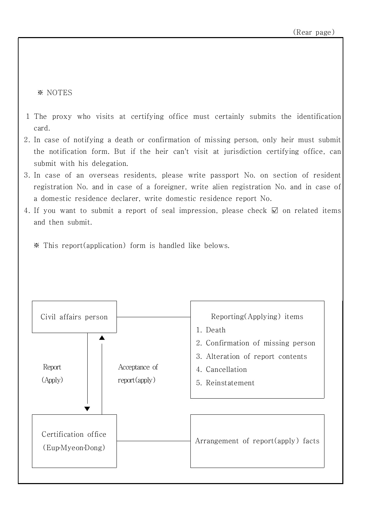※ NOTES

- 1 The proxy who visits at certifying office must certainly submits the identification card.
- 2. In case of notifying a death or confirmation of missing person, only heir must submit the notification form. But if the heir can't visit at jurisdiction certifying office, can submit with his delegation.
- 3. In case of an overseas residents, please write passport No. on section of resident registration No. and in case of a foreigner, write alien registration No. and in case of a domestic residence declarer, write domestic residence report No.
- 4. If you want to submit a report of seal impression, please check ☑ on related items and then submit.

※ This report(application) form is handled like belows.

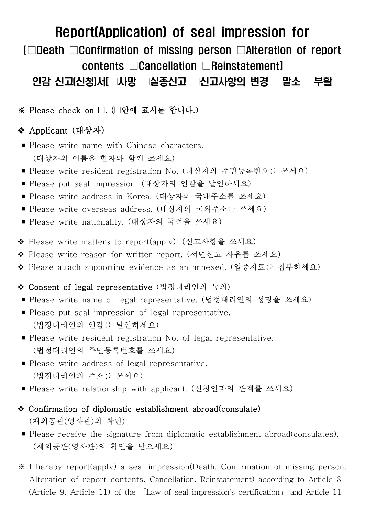# Report(Application) of seal impression for [□Death □Confirmation of missing person □Alteration of report contents □Cancellation □Reinstatement]

# 인감 신고(신청)서[□사망 □실종신고 □신고사항의 변경 □말소 □부활

### ※ Please check on □. (□안에 표시를 합니다.)

## v Applicant (대상자)

- Please write name with Chinese characters. (대상자의 이름을 한자와 함께 쓰세요)
- Please write resident registration No. (대상자의 주민등록번호를 쓰세요)
- Please put seal impression. (대상자의 인감을 날인하세요)
- Please write address in Korea. (대상자의 국내주소를 쓰세요)
- Please write overseas address. (대상자의 국외주소를 쓰세요)
- Please write nationality. (대상자의 국적을 쓰세요)
- ◆ Please write matters to report(apply). (신고사항을 쓰세요)
- ◆ Please write reason for written report. (서면신고 사유를 쓰세요)
- ◆ Please attach supporting evidence as an annexed. (입증자료를 첨부하세요)

#### ◆ Consent of legal representative (법정대리인의 동의)

- Please write name of legal representative. (법정대리인의 성명을 쓰세요)
- Please put seal impression of legal representative. (법정대리인의 인감을 날인하세요)
- Please write resident registration No. of legal representative.<br>(법정대리인의 주민등록번호를 쓰세요)
- Please write address of legal representative. (법정대리인의 주소를 쓰세요)
- Please write relationship with applicant. (신청인과의 관계를 쓰세요)
- $\triangle$  Confirmation of diplomatic establishment abroad(consulate) (재외공관(영사관)의 확인)
- Please receive the signature from diplomatic establishment abroad(consulates).<br>(재외공관(영사관)의 확인을 받으세요)
- ※ I hereby report(apply) a seal impression(Death. Confirmation of missing person. Alteration of report contents. Cancellation. Reinstatement) according to Article 8 (Article 9, Article 11) of the 「Law of seal impression's certification」 and Article 11